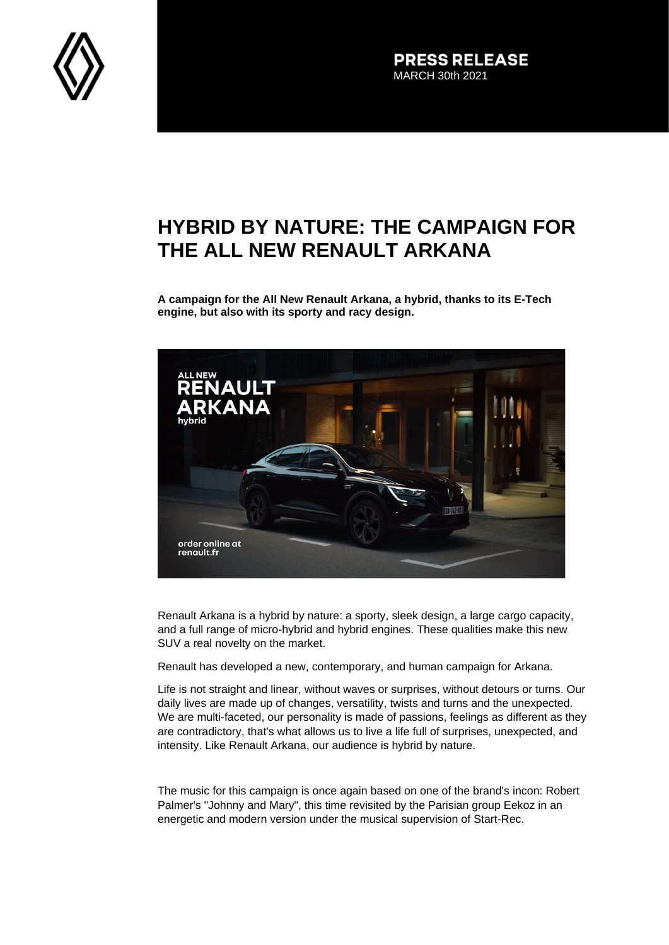

**PRESS RELEASE** MARCH 30th 2021

## **HYBRID BY NATURE: THE CAMPAIGN FOR THE ALL NEW RENAULT ARKANA**

**A campaign for the All New Renault Arkana, a hybrid, thanks to its E-Tech engine, but also with its sporty and racy design.**



Renault Arkana is a hybrid by nature: a sporty, sleek design, a large cargo capacity, and a full range of micro-hybrid and hybrid engines. These qualities make this new SUV a real novelty on the market.

Renault has developed a new, contemporary, and human campaign for Arkana.

Life is not straight and linear, without waves or surprises, without detours or turns. Our daily lives are made up of changes, versatility, twists and turns and the unexpected. We are multi-faceted, our personality is made of passions, feelings as different as they are contradictory, that's what allows us to live a life full of surprises, unexpected, and intensity. Like Renault Arkana, our audience is hybrid by nature.

The music for this campaign is once again based on one of the brand's incon: Robert Palmer's "Johnny and Mary", this time revisited by the Parisian group Eekoz in an energetic and modern version under the musical supervision of Start-Rec.